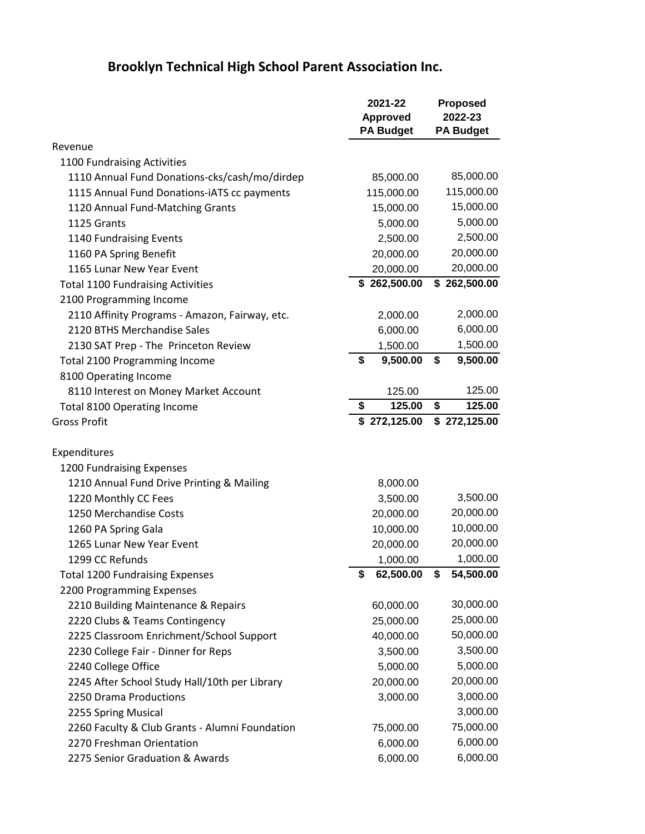## **Brooklyn Technical High School Parent Association Inc.**

|                                                | 2021-22            | <b>Proposed</b>  |  |
|------------------------------------------------|--------------------|------------------|--|
|                                                | <b>Approved</b>    | 2022-23          |  |
|                                                | <b>PA Budget</b>   | <b>PA Budget</b> |  |
| Revenue                                        |                    |                  |  |
| 1100 Fundraising Activities                    |                    |                  |  |
| 1110 Annual Fund Donations-cks/cash/mo/dirdep  | 85,000.00          | 85,000.00        |  |
| 1115 Annual Fund Donations-iATS cc payments    | 115,000.00         | 115,000.00       |  |
| 1120 Annual Fund-Matching Grants               | 15,000.00          | 15,000.00        |  |
| 1125 Grants                                    | 5,000.00           | 5,000.00         |  |
| 1140 Fundraising Events                        | 2,500.00           | 2,500.00         |  |
| 1160 PA Spring Benefit                         | 20,000.00          | 20,000.00        |  |
| 1165 Lunar New Year Event                      | 20,000.00          | 20,000.00        |  |
| <b>Total 1100 Fundraising Activities</b>       | \$262,500.00       | \$262,500.00     |  |
| 2100 Programming Income                        |                    |                  |  |
| 2110 Affinity Programs - Amazon, Fairway, etc. | 2,000.00           | 2,000.00         |  |
| 2120 BTHS Merchandise Sales                    | 6,000.00           | 6,000.00         |  |
| 2130 SAT Prep - The Princeton Review           | 1,500.00           | 1,500.00         |  |
| <b>Total 2100 Programming Income</b>           | \$<br>9,500.00     | \$<br>9,500.00   |  |
| 8100 Operating Income                          |                    |                  |  |
| 8110 Interest on Money Market Account          | 125.00             | 125.00           |  |
| <b>Total 8100 Operating Income</b>             | 125.00<br>\$       | \$<br>125.00     |  |
| <b>Gross Profit</b>                            | \$272,125.00       | \$272,125.00     |  |
|                                                |                    |                  |  |
| Expenditures                                   |                    |                  |  |
| 1200 Fundraising Expenses                      |                    |                  |  |
| 1210 Annual Fund Drive Printing & Mailing      | 8,000.00           |                  |  |
| 1220 Monthly CC Fees                           | 3,500.00           | 3,500.00         |  |
| 1250 Merchandise Costs                         | 20,000.00          | 20,000.00        |  |
| 1260 PA Spring Gala                            | 10,000.00          | 10,000.00        |  |
| 1265 Lunar New Year Event                      | 20,000.00          | 20,000.00        |  |
| 1299 CC Refunds                                | 1,000.00           | 1,000.00         |  |
| <b>Total 1200 Fundraising Expenses</b>         | \$<br>62,500.00 \$ | 54,500.00        |  |
| 2200 Programming Expenses                      |                    |                  |  |
| 2210 Building Maintenance & Repairs            | 60,000.00          | 30,000.00        |  |
| 2220 Clubs & Teams Contingency                 | 25,000.00          | 25,000.00        |  |
| 2225 Classroom Enrichment/School Support       | 40,000.00          | 50,000.00        |  |
| 2230 College Fair - Dinner for Reps            | 3,500.00           | 3,500.00         |  |
| 2240 College Office                            | 5,000.00           | 5,000.00         |  |
| 2245 After School Study Hall/10th per Library  | 20,000.00          | 20,000.00        |  |
| 2250 Drama Productions                         | 3,000.00           | 3,000.00         |  |
| 2255 Spring Musical                            |                    | 3,000.00         |  |
| 2260 Faculty & Club Grants - Alumni Foundation | 75,000.00          | 75,000.00        |  |
| 2270 Freshman Orientation                      | 6,000.00           | 6,000.00         |  |
| 2275 Senior Graduation & Awards                | 6,000.00           | 6,000.00         |  |
|                                                |                    |                  |  |